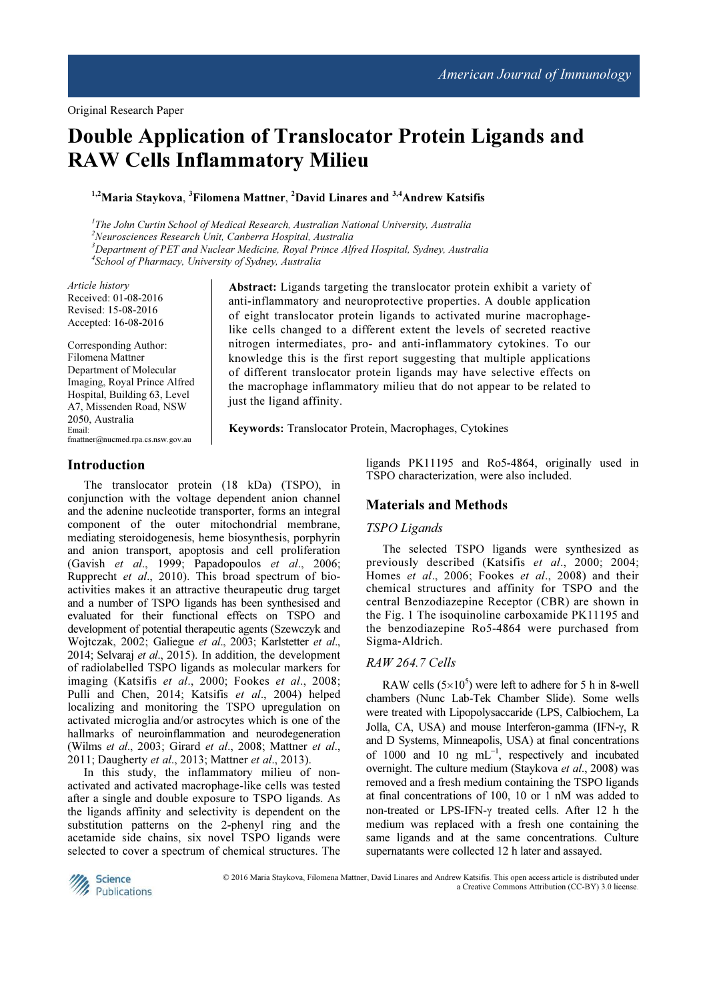# Double Application of Translocator Protein Ligands and RAW Cells Inflammatory Milieu

<sup>1,2</sup>Maria Staykova, <sup>3</sup>Filomena Mattner, <sup>2</sup>David Linares and <sup>3,4</sup>Andrew Katsifis

<sup>1</sup>The John Curtin School of Medical Research, Australian National University, Australia  $2$ Neurosciences Research Unit, Canberra Hospital, Australia <sup>3</sup>Department of PET and Nuclear Medicine, Royal Prince Alfred Hospital, Sydney, Australia 4 School of Pharmacy, University of Sydney, Australia

Article history Received: 01-08-2016 Revised: 15-08-2016 Accepted: 16-08-2016

Corresponding Author: Filomena Mattner Department of Molecular Imaging, Royal Prince Alfred Hospital, Building 63, Level A7, Missenden Road, NSW 2050, Australia Email: fmattner@nucmed.rpa.cs.nsw.gov.au

Abstract: Ligands targeting the translocator protein exhibit a variety of anti-inflammatory and neuroprotective properties. A double application of eight translocator protein ligands to activated murine macrophagelike cells changed to a different extent the levels of secreted reactive nitrogen intermediates, pro- and anti-inflammatory cytokines. To our knowledge this is the first report suggesting that multiple applications of different translocator protein ligands may have selective effects on the macrophage inflammatory milieu that do not appear to be related to just the ligand affinity.

Keywords: Translocator Protein, Macrophages, Cytokines

# Introduction

The translocator protein (18 kDa) (TSPO), in conjunction with the voltage dependent anion channel and the adenine nucleotide transporter, forms an integral component of the outer mitochondrial membrane, mediating steroidogenesis, heme biosynthesis, porphyrin and anion transport, apoptosis and cell proliferation (Gavish et al., 1999; Papadopoulos et al., 2006; Rupprecht et al., 2010). This broad spectrum of bioactivities makes it an attractive theurapeutic drug target and a number of TSPO ligands has been synthesised and evaluated for their functional effects on TSPO and development of potential therapeutic agents (Szewczyk and Wojtczak, 2002; Galiegue et al., 2003; Karlstetter et al., 2014; Selvaraj et al., 2015). In addition, the development of radiolabelled TSPO ligands as molecular markers for imaging (Katsifis et al., 2000; Fookes et al., 2008; Pulli and Chen, 2014; Katsifis et al., 2004) helped localizing and monitoring the TSPO upregulation on activated microglia and/or astrocytes which is one of the hallmarks of neuroinflammation and neurodegeneration (Wilms et al., 2003; Girard et al., 2008; Mattner et al., 2011; Daugherty et al., 2013; Mattner et al., 2013).

In this study, the inflammatory milieu of nonactivated and activated macrophage-like cells was tested after a single and double exposure to TSPO ligands. As the ligands affinity and selectivity is dependent on the substitution patterns on the 2-phenyl ring and the acetamide side chains, six novel TSPO ligands were selected to cover a spectrum of chemical structures. The ligands PK11195 and Ro5-4864, originally used in TSPO characterization, were also included.

## Materials and Methods

#### TSPO Ligands

The selected TSPO ligands were synthesized as previously described (Katsifis et al., 2000; 2004; Homes et al., 2006; Fookes et al., 2008) and their chemical structures and affinity for TSPO and the central Benzodiazepine Receptor (CBR) are shown in the Fig. 1 The isoquinoline carboxamide PK11195 and the benzodiazepine Ro5-4864 were purchased from Sigma-Aldrich.

#### RAW 264.7 Cells

RAW cells  $(5 \times 10^5)$  were left to adhere for 5 h in 8-well chambers (Nunc Lab-Tek Chamber Slide). Some wells were treated with Lipopolysaccaride (LPS, Calbiochem, La Jolla, CA, USA) and mouse Interferon-gamma (IFN-γ, R and D Systems, Minneapolis, USA) at final concentrations of 1000 and 10 ng mL<sup>−</sup><sup>1</sup> , respectively and incubated overnight. The culture medium (Staykova et al., 2008) was removed and a fresh medium containing the TSPO ligands at final concentrations of 100, 10 or 1 nM was added to non-treated or LPS-IFN-γ treated cells. After 12 h the medium was replaced with a fresh one containing the same ligands and at the same concentrations. Culture supernatants were collected 12 h later and assayed.



© 2016 Maria Staykova, Filomena Mattner, David Linares and Andrew Katsifis. This open access article is distributed under a Creative Commons Attribution (CC-BY) 3.0 license.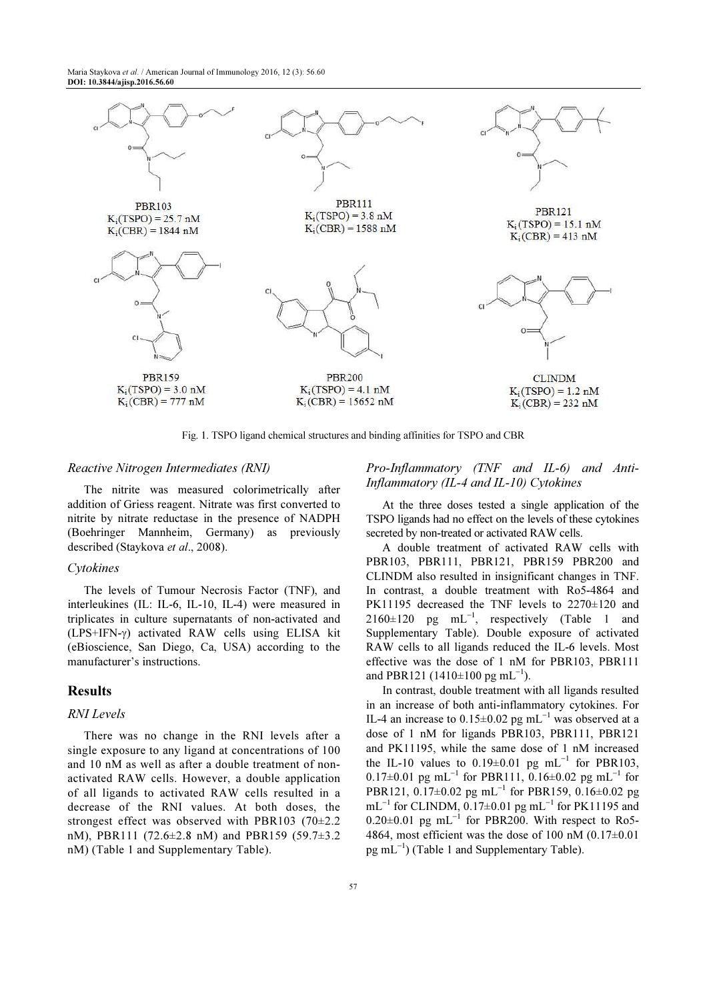Maria Staykova et al. / American Journal of Immunology 2016, 12 (3): 56.60 DOI: 10.3844/ajisp.2016.56.60



Fig. 1. TSPO ligand chemical structures and binding affinities for TSPO and CBR

#### Reactive Nitrogen Intermediates (RNI)

The nitrite was measured colorimetrically after addition of Griess reagent. Nitrate was first converted to nitrite by nitrate reductase in the presence of NADPH (Boehringer Mannheim, Germany) as previously described (Staykova et al., 2008).

#### Cytokines

The levels of Tumour Necrosis Factor (TNF), and interleukines (IL: IL-6, IL-10, IL-4) were measured in triplicates in culture supernatants of non-activated and (LPS+IFN-γ) activated RAW cells using ELISA kit (eBioscience, San Diego, Ca, USA) according to the manufacturer's instructions.

#### Results

#### RNI Levels

There was no change in the RNI levels after a single exposure to any ligand at concentrations of 100 and 10 nM as well as after a double treatment of nonactivated RAW cells. However, a double application of all ligands to activated RAW cells resulted in a decrease of the RNI values. At both doses, the strongest effect was observed with PBR103 (70±2.2 nM), PBR111 (72.6±2.8 nM) and PBR159 (59.7±3.2 nM) (Table 1 and Supplementary Table).

## Pro-Inflammatory (TNF and IL-6) and Anti-Inflammatory (IL-4 and IL-10) Cytokines

At the three doses tested a single application of the TSPO ligands had no effect on the levels of these cytokines secreted by non-treated or activated RAW cells.

A double treatment of activated RAW cells with PBR103, PBR111, PBR121, PBR159 PBR200 and CLINDM also resulted in insignificant changes in TNF. In contrast, a double treatment with Ro5-4864 and PK11195 decreased the TNF levels to 2270±120 and  $2160\pm120$  pg mL<sup>-1</sup>, respectively (Table 1 and Supplementary Table). Double exposure of activated RAW cells to all ligands reduced the IL-6 levels. Most effective was the dose of 1 nM for PBR103, PBR111 and PBR121 (1410 $\pm$ 100 pg mL<sup>-1</sup>).

In contrast, double treatment with all ligands resulted in an increase of both anti-inflammatory cytokines. For IL-4 an increase to  $0.15 \pm 0.02$  pg mL<sup>-1</sup> was observed at a dose of 1 nM for ligands PBR103, PBR111, PBR121 and PK11195, while the same dose of 1 nM increased the IL-10 values to  $0.19 \pm 0.01$  pg mL<sup>-1</sup> for PBR103, 0.17±0.01 pg mL<sup>-1</sup> for PBR111, 0.16±0.02 pg mL<sup>-1</sup> for PBR121, 0.17±0.02 pg mL<sup>-1</sup> for PBR159, 0.16±0.02 pg mL<sup>-1</sup> for CLINDM, 0.17±0.01 pg mL<sup>-1</sup> for PK11195 and  $0.20\pm0.01$  pg mL<sup>-1</sup> for PBR200. With respect to Ro5-4864, most efficient was the dose of 100 nM  $(0.17\pm0.01)$ pg mL<sup>-1</sup>) (Table 1 and Supplementary Table).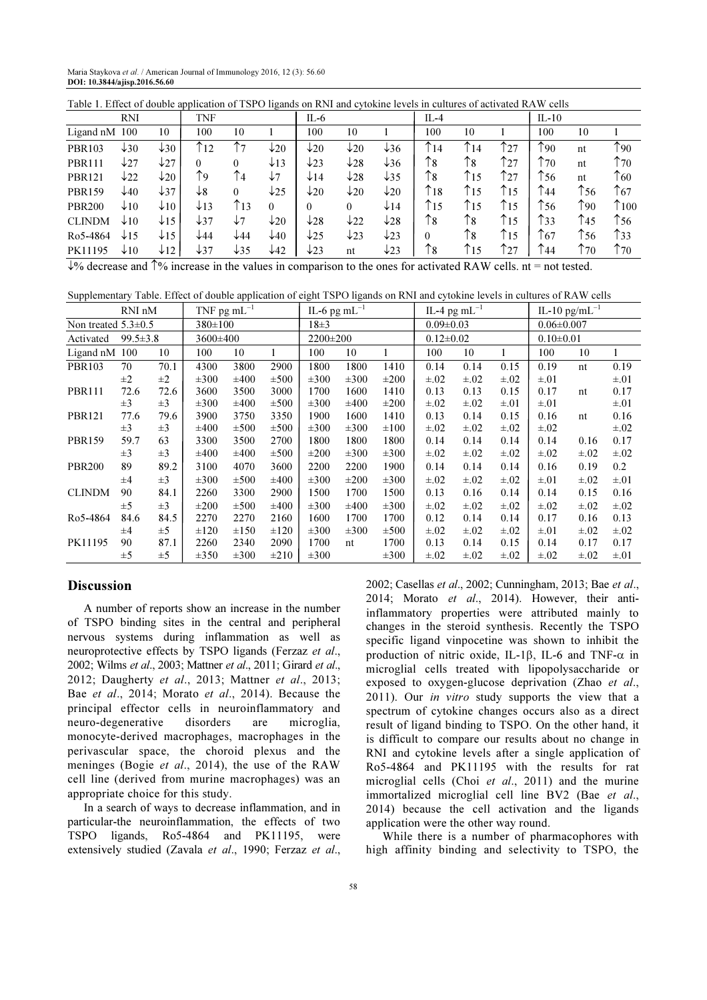Maria Staykova et al. / American Journal of Immunology 2016, 12 (3): 56.60 DOI: 10.3844/ajisp.2016.56.60

| Table 1. Effect of double application of 1.51 O figands on KIM and CytoKine levels in cultures of activated KA W cens |                 |                 |                 |                         |                 |                 |                 |                 |                          |               |               |                 |               |                |
|-----------------------------------------------------------------------------------------------------------------------|-----------------|-----------------|-----------------|-------------------------|-----------------|-----------------|-----------------|-----------------|--------------------------|---------------|---------------|-----------------|---------------|----------------|
|                                                                                                                       | <b>RNI</b>      |                 | <b>TNF</b>      |                         |                 | IL- $6$         |                 |                 | $IL-4$                   |               |               | $IL-10$         |               |                |
| Ligand nM                                                                                                             | 100             | 10              | 100             | 10                      |                 | 100             | 10              |                 | 100                      | 10            |               | 100             | 10            |                |
| <b>PBR103</b>                                                                                                         | $\downarrow$ 30 | $\downarrow$ 30 | $\uparrow$ 12   | ↑7                      | $\downarrow$ 20 | $\downarrow$ 20 | $\downarrow$ 20 | $\downarrow$ 36 | $\uparrow$ <sub>14</sub> | ↑14           | ↑27           | $\gamma_{90}$   | nt            | ↑90            |
| <b>PBR111</b>                                                                                                         | $\downarrow$ 27 | $\downarrow$ 27 | $\Omega$        | 0                       | $\downarrow$ 13 | $\downarrow$ 23 | $\downarrow$ 28 | $\downarrow$ 36 | $\uparrow$ 8             | $\uparrow$ 8  | $\uparrow$ 27 | $\uparrow$ 70   | nt            | $\uparrow$ 70  |
| <b>PBR121</b>                                                                                                         | $\downarrow$ 22 | $\downarrow$ 20 | Υ9              | $\uparrow$ <sub>4</sub> | $\sqrt{7}$      | $\downarrow$ 14 | $\downarrow$ 28 | $\downarrow$ 35 | $\uparrow$ 8             | T15           | $\uparrow$ 27 | $\uparrow$ 56   | nt            | $\uparrow$ 60  |
| <b>PBR159</b>                                                                                                         | $\downarrow$ 40 | $\downarrow$ 37 | $\downarrow$ 8  | 0                       | $\downarrow$ 25 | $\downarrow$ 20 | $\downarrow$ 20 | $\downarrow$ 20 | $\uparrow$ <sub>18</sub> | $\uparrow$ 15 | $\uparrow$ 15 | $\uparrow$ 44   | $\uparrow$ 56 | $\uparrow$ 67  |
| <b>PBR200</b>                                                                                                         | $\downarrow$ 10 | $\downarrow$ 10 | $\downarrow$ 13 | ↑13                     | $\theta$        | 0               | $\theta$        | $\downarrow$ 14 | $\uparrow$ 15            | T15           | $\uparrow$ 15 | T <sub>56</sub> | $\gamma_{90}$ | $\uparrow$ 100 |
| <b>CLINDM</b>                                                                                                         | $\downarrow$ 10 | $\downarrow$ 15 | $\downarrow$ 37 | $\downarrow$ 7          | $\downarrow$ 20 | $\downarrow$ 28 | $\downarrow$ 22 | $\downarrow$ 28 | $\uparrow$ 8             | ↑8            | $\uparrow$ 15 | ↑33             | $\uparrow$ 45 | $\uparrow$ 56  |
| Ro5-4864                                                                                                              | $\downarrow$ 15 | $\downarrow$ 15 | $\downarrow$ 44 | $\sqrt{44}$             | $\downarrow$ 40 | $\downarrow$ 25 | $\downarrow$ 23 | $\downarrow$ 23 | 0                        | ↑8            | $\uparrow$ 15 | $\uparrow$ 67   | $\uparrow$ 56 | $\uparrow$ 33  |
| PK11195                                                                                                               | $\downarrow$ 10 | $\downarrow$ 12 | $\downarrow$ 37 | $\downarrow$ 35         | $\downarrow$ 42 | $\downarrow$ 23 | nt              | $\downarrow$ 23 | $\uparrow$ 8             | ↑15           | $\uparrow$ 27 | $\uparrow$ 44   | ↑70           | $\uparrow$ 70  |
|                                                                                                                       |                 |                 |                 |                         |                 |                 |                 |                 |                          |               |               |                 |               |                |

Table 1. Effect of double application of TSPO ligands on RNI and cytokine levels in cultures of activated RAW cells

↓% decrease and ↑% increase in the values in comparison to the ones for activated RAW cells. nt = not tested.

Supplementary Table. Effect of double application of eight TSPO ligands on RNI and cytokine levels in cultures of RAW cells

|                             | RNI nM  |         | TNF pg $mL^{-1}$ |           |           | IL-6 pg mL $^{-1}$ |           |           | IL-4 pg mL $^{-1}$ |           |           | IL-10 pg/mL $^{-1}$ |           |           |
|-----------------------------|---------|---------|------------------|-----------|-----------|--------------------|-----------|-----------|--------------------|-----------|-----------|---------------------|-----------|-----------|
| Non treated $5.3 \pm 0.5$   |         |         | $380 \pm 100$    |           |           | $18\pm3$           |           |           | $0.09 \pm 0.03$    |           |           | $0.06 \pm 0.007$    |           |           |
| $99.5 \pm 3.8$<br>Activated |         |         | 3600±400         |           |           | 2200±200           |           |           | $0.12 \pm 0.02$    |           |           | $0.10 \pm 0.01$     |           |           |
| Ligand nM                   | 100     | 10      | 100              | 10        |           | 100                | 10        |           | 100                | 10        |           | 100                 | 10        |           |
| <b>PBR103</b>               | 70      | 70.1    | 4300             | 3800      | 2900      | 1800               | 1800      | 1410      | 0.14               | 0.14      | 0.15      | 0.19                | nt        | 0.19      |
|                             | $\pm 2$ | $\pm 2$ | $\pm 300$        | $\pm 400$ | $\pm 500$ | $\pm 300$          | $\pm 300$ | $\pm 200$ | $\pm .02$          | $\pm .02$ | $\pm .02$ | $\pm .01$           |           | $\pm .01$ |
| <b>PBR111</b>               | 72.6    | 72.6    | 3600             | 3500      | 3000      | 1700               | 1600      | 1410      | 0.13               | 0.13      | 0.15      | 0.17                | nt        | 0.17      |
|                             | $\pm 3$ | $\pm 3$ | $\pm 300$        | $\pm 400$ | $\pm 500$ | $\pm 300$          | $\pm 400$ | $\pm 200$ | $\pm .02$          | $\pm .02$ | $\pm .01$ | $\pm .01$           |           | $\pm .01$ |
| <b>PBR121</b>               | 77.6    | 79.6    | 3900             | 3750      | 3350      | 1900               | 1600      | 1410      | 0.13               | 0.14      | 0.15      | 0.16                | nt        | 0.16      |
|                             | $\pm 3$ | $\pm 3$ | $\pm 400$        | $\pm 500$ | $\pm 500$ | $\pm 300$          | $\pm 300$ | $\pm 100$ | $\pm .02$          | $\pm .02$ | $\pm .02$ | $\pm .02$           |           | $\pm .02$ |
| <b>PBR159</b>               | 59.7    | 63      | 3300             | 3500      | 2700      | 1800               | 1800      | 1800      | 0.14               | 0.14      | 0.14      | 0.14                | 0.16      | 0.17      |
|                             | $\pm 3$ | $\pm 3$ | $\pm 400$        | $\pm 400$ | $\pm 500$ | $\pm 200$          | $\pm 300$ | $\pm 300$ | $\pm .02$          | $\pm .02$ | $\pm .02$ | $\pm .02$           | $\pm .02$ | $\pm .02$ |
| <b>PBR200</b>               | 89      | 89.2    | 3100             | 4070      | 3600      | 2200               | 2200      | 1900      | 0.14               | 0.14      | 0.14      | 0.16                | 0.19      | 0.2       |
|                             | $\pm 4$ | $\pm 3$ | $\pm 300$        | $\pm 500$ | $\pm 400$ | $\pm 300$          | $\pm 200$ | $\pm 300$ | $\pm .02$          | $\pm .02$ | $\pm .02$ | $\pm .01$           | $\pm .02$ | $\pm .01$ |
| <b>CLINDM</b>               | 90      | 84.1    | 2260             | 3300      | 2900      | 1500               | 1700      | 1500      | 0.13               | 0.16      | 0.14      | 0.14                | 0.15      | 0.16      |
|                             | $\pm$ 5 | $\pm 3$ | $\pm 200$        | $\pm 500$ | $\pm 400$ | $\pm 300$          | $\pm 400$ | $\pm 300$ | $\pm .02$          | $\pm .02$ | $\pm .02$ | $\pm .02$           | $\pm .02$ | $\pm .02$ |
| Ro5-4864                    | 84.6    | 84.5    | 2270             | 2270      | 2160      | 1600               | 1700      | 1700      | 0.12               | 0.14      | 0.14      | 0.17                | 0.16      | 0.13      |
|                             | $\pm 4$ | $\pm 5$ | $\pm 120$        | $\pm 150$ | $\pm 120$ | $\pm 300$          | $\pm 300$ | $\pm 500$ | $\pm .02$          | $\pm .02$ | $\pm .02$ | $\pm .01$           | $\pm .02$ | $\pm .02$ |
| PK11195                     | 90      | 87.1    | 2260             | 2340      | 2090      | 1700               | nt        | 1700      | 0.13               | 0.14      | 0.15      | 0.14                | 0.17      | 0.17      |
|                             | $\pm 5$ | $\pm$ 5 | $\pm 350$        | $\pm 300$ | $\pm 210$ | $\pm 300$          |           | $\pm 300$ | $\pm .02$          | $\pm .02$ | $\pm .02$ | $\pm .02$           | $\pm .02$ | $\pm .01$ |

## **Discussion**

A number of reports show an increase in the number of TSPO binding sites in the central and peripheral nervous systems during inflammation as well as neuroprotective effects by TSPO ligands (Ferzaz et al., 2002; Wilms et al., 2003; Mattner et al., 2011; Girard et al., 2012; Daugherty et al., 2013; Mattner et al., 2013; Bae et al., 2014; Morato et al., 2014). Because the principal effector cells in neuroinflammatory and neuro-degenerative disorders are microglia, monocyte-derived macrophages, macrophages in the perivascular space, the choroid plexus and the meninges (Bogie et al., 2014), the use of the RAW cell line (derived from murine macrophages) was an appropriate choice for this study.

In a search of ways to decrease inflammation, and in particular-the neuroinflammation, the effects of two TSPO ligands, Ro5-4864 and PK11195, were extensively studied (Zavala et al., 1990; Ferzaz et al., 2002; Casellas et al., 2002; Cunningham, 2013; Bae et al., 2014; Morato et al., 2014). However, their antiinflammatory properties were attributed mainly to changes in the steroid synthesis. Recently the TSPO specific ligand vinpocetine was shown to inhibit the production of nitric oxide, IL-1β, IL-6 and TNF-α in microglial cells treated with lipopolysaccharide or exposed to oxygen-glucose deprivation (Zhao et al., 2011). Our *in vitro* study supports the view that a spectrum of cytokine changes occurs also as a direct result of ligand binding to TSPO. On the other hand, it is difficult to compare our results about no change in RNI and cytokine levels after a single application of Ro5-4864 and PK11195 with the results for rat microglial cells (Choi et al., 2011) and the murine immortalized microglial cell line BV2 (Bae et al., 2014) because the cell activation and the ligands application were the other way round.

While there is a number of pharmacophores with high affinity binding and selectivity to TSPO, the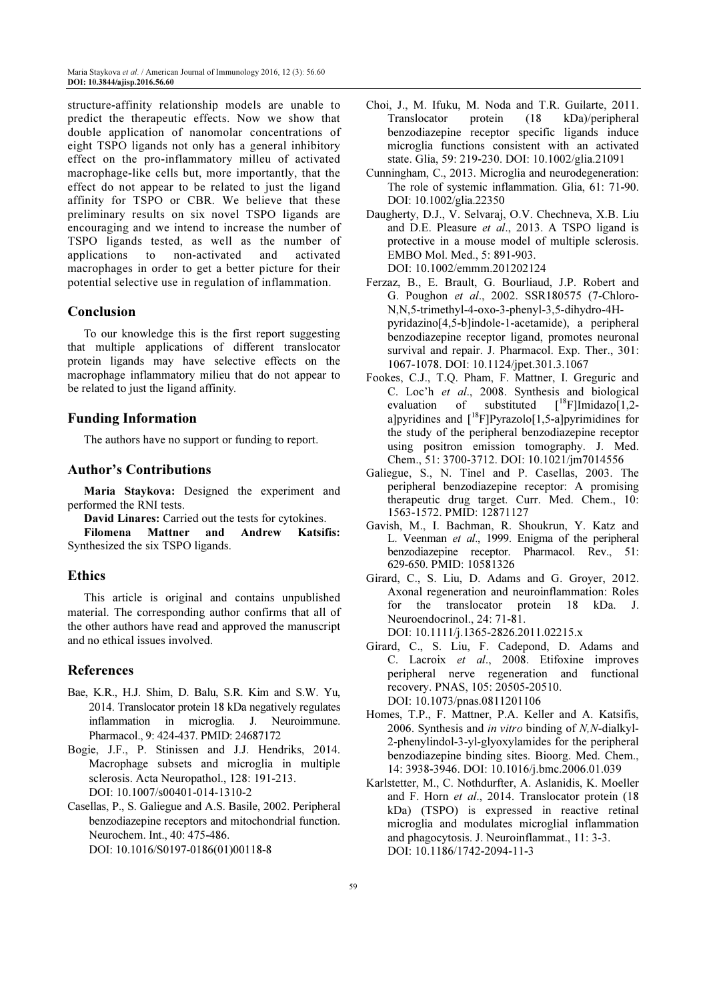structure-affinity relationship models are unable to predict the therapeutic effects. Now we show that double application of nanomolar concentrations of eight TSPO ligands not only has a general inhibitory effect on the pro-inflammatory milleu of activated macrophage-like cells but, more importantly, that the effect do not appear to be related to just the ligand affinity for TSPO or CBR. We believe that these preliminary results on six novel TSPO ligands are encouraging and we intend to increase the number of TSPO ligands tested, as well as the number of applications to non-activated and activated macrophages in order to get a better picture for their potential selective use in regulation of inflammation.

# Conclusion

To our knowledge this is the first report suggesting that multiple applications of different translocator protein ligands may have selective effects on the macrophage inflammatory milieu that do not appear to be related to just the ligand affinity.

## Funding Information

The authors have no support or funding to report.

## Author's Contributions

Maria Staykova: Designed the experiment and performed the RNI tests.

David Linares: Carried out the tests for cytokines. Filomena Mattner and Andrew Katsifis: Synthesized the six TSPO ligands.

## Ethics

This article is original and contains unpublished material. The corresponding author confirms that all of the other authors have read and approved the manuscript and no ethical issues involved.

## References

- Bae, K.R., H.J. Shim, D. Balu, S.R. Kim and S.W. Yu, 2014. Translocator protein 18 kDa negatively regulates inflammation in microglia. J. Neuroimmune. Pharmacol., 9: 424-437. PMID: 24687172
- Bogie, J.F., P. Stinissen and J.J. Hendriks, 2014. Macrophage subsets and microglia in multiple sclerosis. Acta Neuropathol., 128: 191-213. DOI: 10.1007/s00401-014-1310-2
- Casellas, P., S. Galiegue and A.S. Basile, 2002. Peripheral benzodiazepine receptors and mitochondrial function. Neurochem. Int., 40: 475-486. DOI: 10.1016/S0197-0186(01)00118-8
- Choi, J., M. Ifuku, M. Noda and T.R. Guilarte, 2011. Translocator protein (18 kDa)/peripheral benzodiazepine receptor specific ligands induce microglia functions consistent with an activated state. Glia, 59: 219-230. DOI: 10.1002/glia.21091
- Cunningham, C., 2013. Microglia and neurodegeneration: The role of systemic inflammation. Glia, 61: 71-90. DOI: 10.1002/glia.22350
- Daugherty, D.J., V. Selvaraj, O.V. Chechneva, X.B. Liu and D.E. Pleasure et al., 2013. A TSPO ligand is protective in a mouse model of multiple sclerosis. EMBO Mol. Med., 5: 891-903. DOI: 10.1002/emmm.201202124
- Ferzaz, B., E. Brault, G. Bourliaud, J.P. Robert and G. Poughon et al., 2002. SSR180575 (7-Chloro-N,N,5-trimethyl-4-oxo-3-phenyl-3,5-dihydro-4Hpyridazino[4,5-b]indole-1-acetamide), a peripheral benzodiazepine receptor ligand, promotes neuronal survival and repair. J. Pharmacol. Exp. Ther., 301: 1067-1078. DOI: 10.1124/jpet.301.3.1067
- Fookes, C.J., T.Q. Pham, F. Mattner, I. Greguric and C. Loc'h et al., 2008. Synthesis and biological evaluation of substituted  $\int_{0}^{18}$ F]Imidazo[1,2evaluation of substituted a]pyridines and  $[18F]P$ yrazolo $[1,5-a]$ pyrimidines for the study of the peripheral benzodiazepine receptor using positron emission tomography. J. Med. Chem., 51: 3700-3712. DOI: 10.1021/jm7014556
- Galiegue, S., N. Tinel and P. Casellas, 2003. The peripheral benzodiazepine receptor: A promising therapeutic drug target. Curr. Med. Chem., 10: 1563-1572. PMID: 12871127
- Gavish, M., I. Bachman, R. Shoukrun, Y. Katz and L. Veenman et al., 1999. Enigma of the peripheral benzodiazepine receptor. Pharmacol. Rev., 51: 629-650. PMID: 10581326
- Girard, C., S. Liu, D. Adams and G. Groyer, 2012. Axonal regeneration and neuroinflammation: Roles for the translocator protein 18 kDa. J. Neuroendocrinol., 24: 71-81. DOI: 10.1111/j.1365-2826.2011.02215.x

Girard, C., S. Liu, F. Cadepond, D. Adams and C. Lacroix et al., 2008. Etifoxine improves peripheral nerve regeneration and functional recovery. PNAS, 105: 20505-20510. DOI: 10.1073/pnas.0811201106

- Homes, T.P., F. Mattner, P.A. Keller and A. Katsifis, 2006. Synthesis and in vitro binding of N,N-dialkyl-2-phenylindol-3-yl-glyoxylamides for the peripheral benzodiazepine binding sites. Bioorg. Med. Chem., 14: 3938-3946. DOI: 10.1016/j.bmc.2006.01.039
- Karlstetter, M., C. Nothdurfter, A. Aslanidis, K. Moeller and F. Horn et al., 2014. Translocator protein (18 kDa) (TSPO) is expressed in reactive retinal microglia and modulates microglial inflammation and phagocytosis. J. Neuroinflammat., 11: 3-3. DOI: 10.1186/1742-2094-11-3